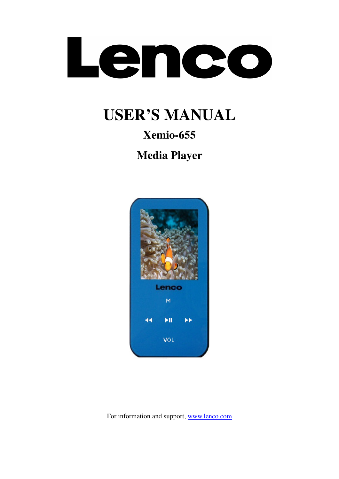

# **USER'S MANUAL**

# **Xemio-655**

**Media Player** 



For information and support, www.lenco.com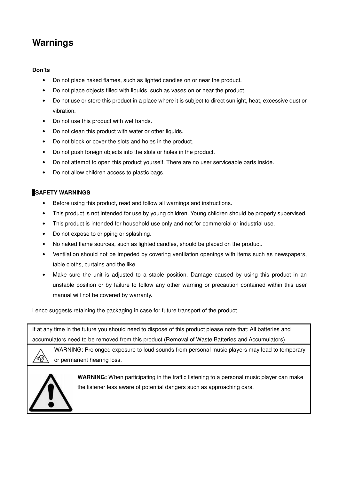# **Warnings**

#### **Don'ts**

- Do not place naked flames, such as lighted candles on or near the product.
- Do not place objects filled with liquids, such as vases on or near the product.
- Do not use or store this product in a place where it is subject to direct sunlight, heat, excessive dust or vibration.
- Do not use this product with wet hands.
- Do not clean this product with water or other liquids.
- Do not block or cover the slots and holes in the product.
- Do not push foreign objects into the slots or holes in the product.
- Do not attempt to open this product yourself. There are no user serviceable parts inside.
- Do not allow children access to plastic bags.

#### **SAFETY WARNINGS**

- Before using this product, read and follow all warnings and instructions.
- This product is not intended for use by young children. Young children should be properly supervised.
- This product is intended for household use only and not for commercial or industrial use.
- Do not expose to dripping or splashing.
- No naked flame sources, such as lighted candles, should be placed on the product.
- Ventilation should not be impeded by covering ventilation openings with items such as newspapers, table cloths, curtains and the like.
- Make sure the unit is adjusted to a stable position. Damage caused by using this product in an unstable position or by failure to follow any other warning or precaution contained within this user manual will not be covered by warranty.

Lenco suggests retaining the packaging in case for future transport of the product.

If at any time in the future you should need to dispose of this product please note that: All batteries and accumulators need to be removed from this product (Removal of Waste Batteries and Accumulators).

WARNING: Prolonged exposure to loud sounds from personal music players may lead to temporary or permanent hearing loss.



4P

**WARNING:** When participating in the traffic listening to a personal music player can make the listener less aware of potential dangers such as approaching cars.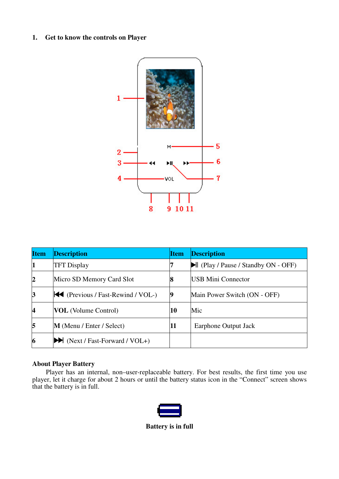### **1. Get to know the controls on Player**



| <b>Item</b>              | <b>Description</b>                                    | <b>Item</b> | <b>Description</b>                                      |
|--------------------------|-------------------------------------------------------|-------------|---------------------------------------------------------|
| 1                        | <b>TFT Display</b>                                    |             | $\blacktriangleright$ (Play / Pause / Standby ON - OFF) |
| $\overline{2}$           | Micro SD Memory Card Slot                             | 8           | <b>USB Mini Connector</b>                               |
| $\vert 3$                | $\blacktriangleright$ (Previous / Fast-Rewind / VOL-) | 19          | Main Power Switch (ON - OFF)                            |
| $\overline{\mathcal{A}}$ | <b>VOL</b> (Volume Control)                           | 10          | Mic                                                     |
| $\overline{5}$           | $M$ (Menu / Enter / Select)                           | 11          | Earphone Output Jack                                    |
| 6                        | $\blacktriangleright$ (Next / Fast-Forward / VOL+)    |             |                                                         |

### **About Player Battery**

Player has an internal, non–user-replaceable battery. For best results, the first time you use player, let it charge for about 2 hours or until the battery status icon in the "Connect" screen shows that the battery is in full.



**Battery is in full**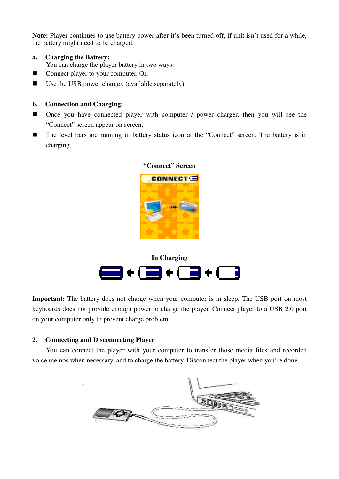**Note:** Player continues to use battery power after it's been turned off, if unit isn't used for a while, the battery might need to be charged.

- **a. Charging the Battery:**  You can charge the player battery in two ways:
- Connect player to your computer. Or,
- Use the USB power charger. (available separately)

#### **b. Connection and Charging:**

- Once you have connected player with computer / power charger, then you will see the "Connect" screen appear on screen,
- The level bars are running in battery status icon at the "Connect" screen. The battery is in charging.



#### **"Connect" Screen**



**Important:** The battery does not charge when your computer is in sleep. The USB port on most keyboards does not provide enough power to charge the player. Connect player to a USB 2.0 port on your computer only to prevent charge problem.

# **2. Connecting and Disconnecting Player**

You can connect the player with your computer to transfer those media files and recorded voice memos when necessary, and to charge the battery. Disconnect the player when you're done.

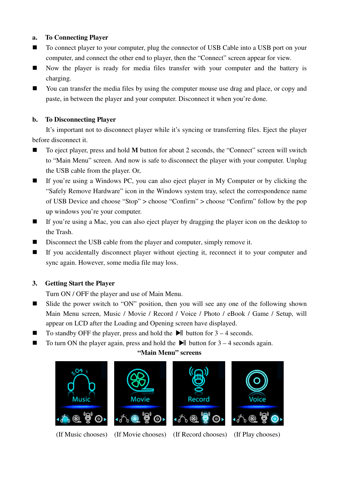# **a. To Connecting Player**

- To connect player to your computer, plug the connector of USB Cable into a USB port on your computer, and connect the other end to player, then the "Connect" screen appear for view.
- Now the player is ready for media files transfer with your computer and the battery is charging.
- You can transfer the media files by using the computer mouse use drag and place, or copy and paste, in between the player and your computer. Disconnect it when you're done.

# **b. To Disconnecting Player**

It's important not to disconnect player while it's syncing or transferring files. Eject the player before disconnect it.

- To eject player, press and hold **M** button for about 2 seconds, the "Connect" screen will switch to "Main Menu" screen. And now is safe to disconnect the player with your computer. Unplug the USB cable from the player. Or,
- If you're using a Windows PC, you can also eject player in My Computer or by clicking the "Safely Remove Hardware" icon in the Windows system tray, select the correspondence name of USB Device and choose "Stop" > choose "Confirm" > choose "Confirm" follow by the pop up windows you're your computer.
- If you're using a Mac, you can also eject player by dragging the player icon on the desktop to the Trash.
- Disconnect the USB cable from the player and computer, simply remove it.
- If you accidentally disconnect player without ejecting it, reconnect it to your computer and sync again. However, some media file may loss.

# **3. Getting Start the Player**

Turn ON / OFF the player and use of Main Menu.

- Slide the power switch to "ON" position, then you will see any one of the following shown Main Menu screen, Music / Movie / Record / Voice / Photo / eBook / Game / Setup, will appear on LCD after the Loading and Opening screen have displayed.
- $\blacksquare$  To standby OFF the player, press and hold the  $\blacksquare$  button for 3 4 seconds.
- $\blacksquare$  To turn ON the player again, press and hold the  $\blacksquare$  button for 3 4 seconds again.

# **"Main Menu" screens**



- (If Music chooses) (If Movie chooses) (If Record chooses) (If Play chooses)
	-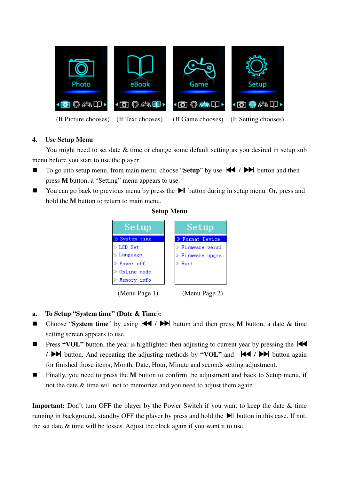

(If Picture chooses) (If Text chooses) (If Game chooses) (If Setting chooses)

# **4. Use Setup Menu**

You might need to set date  $\&$  time or change some default setting as you desired in setup sub menu before you start to use the player.

- To go into setup menu, from main menu, choose "**Setup**" by use  $\mathbf{+}\mathbf{+}$  /  $\mathbf{+}\mathbf{+}$  button and then press **M** button, a "Setting" menu appears to use.
- You can go back to previous menu by press the  $\blacktriangleright$  button during in setup menu. Or, press and hold the **M** button to return to main menu.



# **Setup Menu**

# **a. To Setup "System time" (Date & Time):**

- Choose "System time" by using  $\blacktriangleleft$  /  $\blacktriangleright$  button and then press **M** button, a date & time setting screen appears to use.
- **Press "VOL"** button, the year is highlighted then adjusting to current year by pressing the  $\blacktriangleleft$ /  $\blacktriangleright$  button. And repeating the adjusting methods by **"VOL"** and  $\blacktriangleright$   $\blacktriangleright$  button again for finished those items; Month, Date, Hour, Minute and seconds setting adjustment.
- Finally, you need to press the M button to confirm the adjustment and back to Setup menu, if not the date & time will not to memorize and you need to adjust them again.

**Important:** Don't turn OFF the player by the Power Switch if you want to keep the date  $\&$  time running in background, standby OFF the player by press and hold the  $\blacktriangleright$  button in this case. If not, the set date & time will be losses. Adjust the clock again if you want it to use.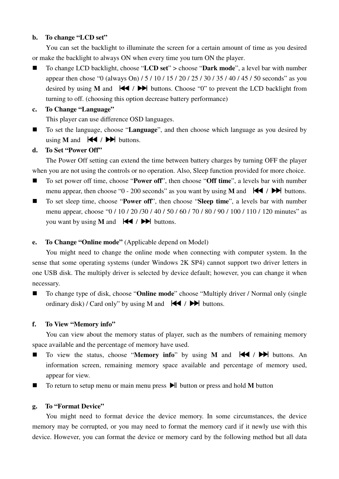### **b. To change "LCD set"**

You can set the backlight to illuminate the screen for a certain amount of time as you desired or make the backlight to always ON when every time you turn ON the player.

■ To change LCD backlight, choose "**LCD set**" > choose "**Dark mode**", a level bar with number appear then chose "0 (always On) / 5 / 10 / 15 / 20 / 25 / 30 / 35 / 40 / 45 / 50 seconds" as you desired by using **M** and  $\left|\frac{1}{2}\right|$  buttons. Choose "0" to prevent the LCD backlight from turning to off. (choosing this option decrease battery performance)

# **c. To Change "Language"**

This player can use difference OSD languages.

■ To set the language, choose "**Language**", and then choose which language as you desired by using **M** and  $|\blacktriangleleft$  /  $|\blacktriangleright\rangle$  buttons.

#### **d. To Set "Power Off"**

The Power Off setting can extend the time between battery charges by turning OFF the player when you are not using the controls or no operation. Also, Sleep function provided for more choice.

- To set power off time, choose "**Power off**", then choose "**Off time**", a levels bar with number menu appear, then choose "0 - 200 seconds" as you want by using **M** and  $\left|\bigarrow{ }$  /  $\rightarrow$  buttons.
- To set sleep time, choose "**Power off**", then choose "**Sleep time**", a levels bar with number menu appear, choose "0 / 10 / 20 / 30 / 40 / 50 / 60 / 70 / 80 / 90 / 100 / 110 / 120 minutes" as you want by using **M** and  $|\blacktriangleleft \rangle$  /  $|\blacktriangleright \blacktriangleright \rangle$  buttons.

# **e. To Change "Online mode"** (Applicable depend on Model)

You might need to change the online mode when connecting with computer system. In the sense that some operating systems (under Windows 2K SP4) cannot support two driver letters in one USB disk. The multiply driver is selected by device default; however, you can change it when necessary.

■ To change type of disk, choose "**Online mode**" choose "Multiply driver / Normal only (single ordinary disk) / Card only" by using M and  $\forall$  /  $\rightarrow$  buttons.

#### **f. To View "Memory info"**

You can view about the memory status of player, such as the numbers of remaining memory space available and the percentage of memory have used.

- To view the status, choose "**Memory info**" by using **M** and  $\blacktriangleleft$  /  $\blacktriangleright$  buttons. An information screen, remaining memory space available and percentage of memory used, appear for view.
- To return to setup menu or main menu press ▶ button or press and hold **M** button

#### **g. To "Format Device"**

You might need to format device the device memory. In some circumstances, the device memory may be corrupted, or you may need to format the memory card if it newly use with this device. However, you can format the device or memory card by the following method but all data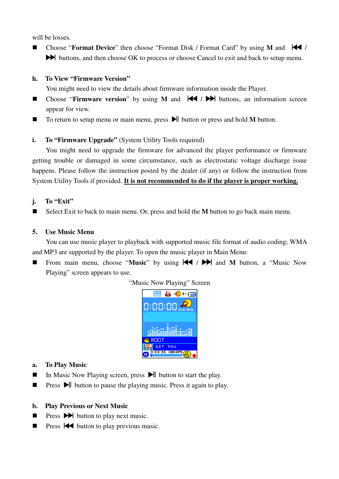will be losses.

■ Choose "**Format Device**" then choose "Format Disk / Format Card" by using **M** and  $\blacktriangleleft$  /  $\blacktriangleright$  buttons, and then choose OK to process or choose Cancel to exit and back to setup menu.

#### **h. To View "Firmware Version"**

- You might need to view the details about firmware information inside the Player.
- Choose "**Firmware version**" by using **M** and  $\blacktriangleleft$  /  $\blacktriangleright$  buttons, an information screen appear for view.
- To return to setup menu or main menu, press ► button or press and hold **M** button.

# **i. To "Firmware Upgrade"** (System Utility Tools required)

You might need to upgrade the firmware for advanced the player performance or firmware getting trouble or damaged in some circumstance, such as electrostatic voltage discharge issue happens. Please follow the instruction posted by the dealer (if any) or follow the instruction from System Utility Tools if provided. **It is not recommended to do if the player is proper working.**

#### **j. To "Exit"**

Select Exit to back to main menu. Or, press and hold the **M** button to go back main menu.

#### **5. Use Music Menu**

You can use music player to playback with supported music file format of audio coding; WMA and MP3 are supported by the player. To open the music player in Main Menu:

From main menu, choose "Music" by using  $\blacktriangleleft$  /  $\blacktriangleright$  and M button, a "Music Now Playing" screen appears to use.



- **a. To Play Music**
- In Music Now Playing screen, press  $\blacktriangleright$  button to start the play.
- **Press**  $\blacktriangleright$  button to pause the playing music. Press it again to play.

#### **b. Play Previous or Next Music**

- **Press**  $\blacktriangleright$  **button to play next music.**
- **Press**  $\blacktriangleleft$  button to play previous music.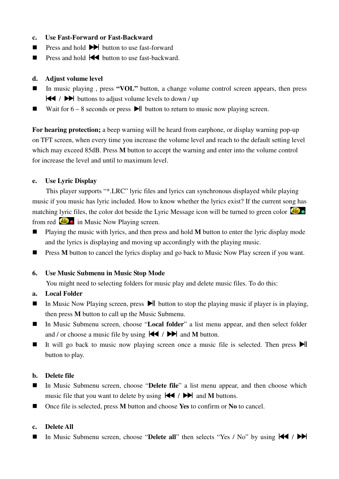- **c. Use Fast-Forward or Fast-Backward**
- **Press and hold**  $\blacktriangleright$  **button to use fast-forward**
- **Press and hold**  $\blacktriangleleft$  **button to use fast-backward.**

#### **d. Adjust volume level**

- In music playing, press "**VOL**" button, a change volume control screen appears, then press  $\blacktriangleleft$  /  $\blacktriangleright$  buttons to adjust volume levels to down / up
- Wait for  $6 8$  seconds or press  $\blacktriangleright$  button to return to music now playing screen.

**For hearing protection;** a beep warning will be heard from earphone, or display warning pop-up on TFT screen, when every time you increase the volume level and reach to the default setting level which may exceed 85dB. Press **M** button to accept the warning and enter into the volume control for increase the level and until to maximum level.

#### **e. Use Lyric Display**

This player supports "\*.LRC" lyric files and lyrics can synchronous displayed while playing music if you music has lyric included. How to know whether the lyrics exist? If the current song has matching lyric files, the color dot beside the Lyric Message icon will be turned to green color from red  $\overrightarrow{AB}$  in Music Now Playing screen.

- Playing the music with lyrics, and then press and hold **M** button to enter the lyric display mode and the lyrics is displaying and moving up accordingly with the playing music.
- **Press M** button to cancel the lyrics display and go back to Music Now Play screen if you want.

#### **6. Use Music Submenu in Music Stop Mode**

You might need to selecting folders for music play and delete music files. To do this:

#### **a. Local Folder**

- In Music Now Playing screen, press  $\blacktriangleright$  button to stop the playing music if player is in playing, then press **M** button to call up the Music Submenu.
- In Music Submenu screen, choose "**Local folder**" a list menu appear, and then select folder and / or choose a music file by using  $\left| \bigotimes \right|$  /  $\blacktriangleright$  and **M** button.
- It will go back to music now playing screen once a music file is selected. Then press  $\blacktriangleright$ button to play.

#### **b. Delete file**

- In Music Submenu screen, choose "**Delete file**" a list menu appear, and then choose which music file that you want to delete by using  $|\blacktriangleleft|$   $\rangle$   $\rangle$  and **M** buttons.
- Once file is selected, press **M** button and choose **Yes** to confirm or **No** to cancel.

#### **c. Delete All**

In Music Submenu screen, choose "**Delete all**" then selects "Yes / No" by using  $\blacktriangleleft$  /  $\blacktriangleright$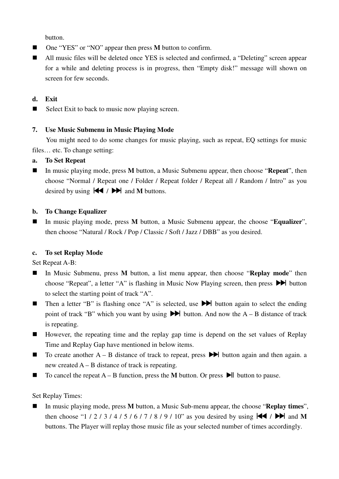button.

- One "YES" or "NO" appear then press **M** button to confirm.
- All music files will be deleted once YES is selected and confirmed, a "Deleting" screen appear for a while and deleting process is in progress, then "Empty disk!" message will shown on screen for few seconds.

# **d. Exit**

 $\blacksquare$  Select Exit to back to music now playing screen.

# **7. Use Music Submenu in Music Playing Mode**

You might need to do some changes for music playing, such as repeat, EQ settings for music files… etc. To change setting:

# **a. To Set Repeat**

■ In music playing mode, press **M** button, a Music Submenu appear, then choose "**Repeat**", then choose "Normal / Repeat one / Folder / Repeat folder / Repeat all / Random / Intro" as you desired by using  $|\blacktriangleleft \rangle$   $\rangle$   $|\blacktriangleright \blacktriangleright \rangle$  and **M** buttons.

#### **b. To Change Equalizer**

 In music playing mode, press **M** button, a Music Submenu appear, the choose "**Equalizer**", then choose "Natural / Rock / Pop / Classic / Soft / Jazz / DBB" as you desired.

# **c. To set Replay Mode**

Set Repeat A-B:

- In Music Submenu, press **M** button, a list menu appear, then choose "**Replay mode**" then choose "Repeat", a letter "A" is flashing in Music Now Playing screen, then press  $\blacktriangleright$  button to select the starting point of track "A".
- Then a letter "B" is flashing once "A" is selected, use ▶ button again to select the ending point of track "B" which you want by using  $\blacktriangleright$  button. And now the A – B distance of track is repeating.
- However, the repeating time and the replay gap time is depend on the set values of Replay Time and Replay Gap have mentioned in below items.
- $\blacksquare$  To create another A B distance of track to repeat, press  $\blacktriangleright$  button again and then again. a new created A – B distance of track is repeating.
- $\blacksquare$  To cancel the repeat A B function, press the M button. Or press  $\blacktriangleright$  button to pause.

# Set Replay Times:

■ In music playing mode, press **M** button, a Music Sub-menu appear, the choose "**Replay times**", then choose "1 / 2 / 3 / 4 / 5 / 6 / 7 / 8 / 9 / 10" as you desired by using  $\blacktriangleleft$  /  $\blacktriangleright$  and M buttons. The Player will replay those music file as your selected number of times accordingly.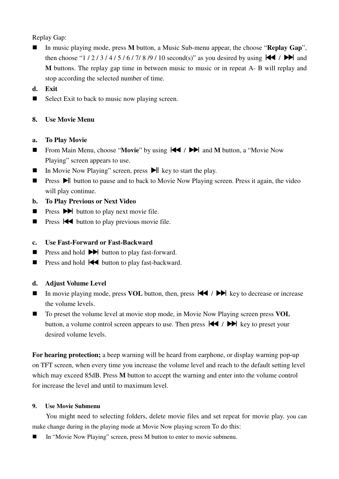Replay Gap:

- In music playing mode, press **M** button, a Music Sub-menu appear, the choose "**Replay Gap**", then choose "1 / 2 / 3 / 4 / 5 / 6 / 7/ 8 /9 / 10 second(s)" as you desired by using / and **M** buttons. The replay gap time in between music to music or in repeat A- B will replay and stop according the selected number of time.
- **d. Exit**
- $\blacksquare$  Select Exit to back to music now playing screen.

# **8. Use Movie Menu**

# **a. To Play Movie**

- From Main Menu, choose "**Movie**" by using  $\blacktriangleleft$  /  $\blacktriangleright$  and **M** button, a "Movie Now Playing" screen appears to use.
- In Movie Now Playing" screen, press  $\blacktriangleright$  key to start the play.
- **Press**  $\Box$  button to pause and to back to Movie Now Playing screen. Press it again, the video will play continue.
- **b. To Play Previous or Next Video**
- **Press**  $\blacktriangleright$  button to play next movie file.
- **Press**  $\blacktriangleleft$  button to play previous movie file.

# **c. Use Fast-Forward or Fast-Backward**

- **Press and hold**  $\blacktriangleright$  **button to play fast-forward.**
- **Press and hold**  $\blacktriangleleft$  **button to play fast-backward.**

# **d. Adjust Volume Level**

- In movie playing mode, press **VOL** button, then, press  $|\cdot|$   $\rangle$  key to decrease or increase the volume levels.
- To preset the volume level at movie stop mode, in Movie Now Playing screen press **VOL** button, a volume control screen appears to use. Then press  $\mathbf{H}$  /  $\mathbf{H}$  key to preset your desired volume levels.

**For hearing protection;** a beep warning will be heard from earphone, or display warning pop-up on TFT screen, when every time you increase the volume level and reach to the default setting level which may exceed 85dB. Press **M** button to accept the warning and enter into the volume control for increase the level and until to maximum level.

# **9. Use Movie Submenu**

You might need to selecting folders, delete movie files and set repeat for movie play. you can make change during in the playing mode at Movie Now playing screen To do this:

■ In "Movie Now Playing" screen, press M button to enter to movie submenu.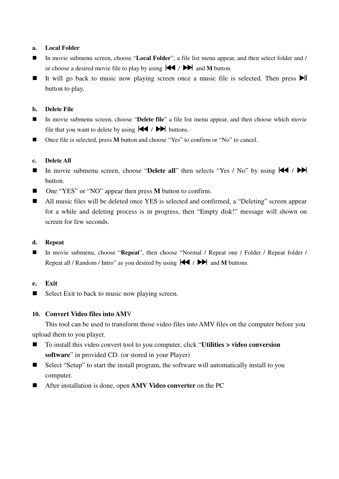#### **a. Local Folder**

- In movie submenu screen, choose "**Local Folder**", a file list menu appear, and then select folder and / or choose a desired movie file to play by using  $|\blacktriangleleft|$   $\rangle$   $\rangle$   $|\blacktriangleright|$  and M button.
- It will go back to music now playing screen once a music file is selected. Then press  $\blacktriangleright$ button to play.

#### **b. Delete File**

- In movie submenu screen, choose "**Delete file**" a file list menu appear, and then choose which movie file that you want to delete by using  $\blacktriangleright$  /  $\blacktriangleright$  buttons.
- Once file is selected, press **M** button and choose "Yes" to confirm or "No" to cancel.

#### **c. Delete All**

- In movie submenu screen, choose "**Delete all**" then selects "Yes / No" by using  $\blacktriangleleft$  /  $\blacktriangleright$ button.
- One "YES" or "NO" appear then press **M** button to confirm.
- All music files will be deleted once YES is selected and confirmed, a "Deleting" screen appear for a while and deleting process is in progress, then "Empty disk!" message will shown on screen for few seconds.

#### **d. Repeat**

■ In movie submenu, choose "**Repeat**", then choose "Normal / Repeat one / Folder / Repeat folder / Repeat all / Random / Intro" as you desired by using  $\blacktriangleleft$  /  $\blacktriangleright$  and **M** buttons.

#### **e. Exit**

 $\blacksquare$  Select Exit to back to music now playing screen.

#### **10. Convert Video files into AM**V

This tool can be used to transform those video files into AMV files on the computer before you upload them to you player.

- To install this video convert tool to you computer, click "**Utilities > video conversion software**" in provided CD. (or stored in your Player)
- Select "Setup" to start the install program, the software will automatically install to you computer.
- After installation is done, open **AMV Video converter** on the PC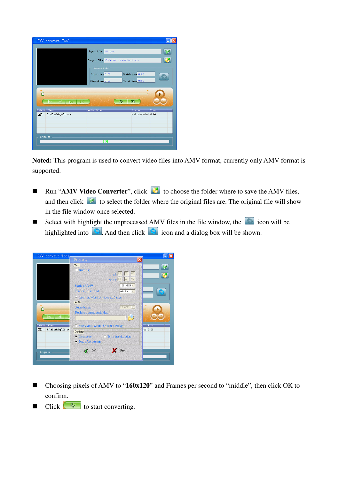| AMV convert Tool                       |                                             |             |
|----------------------------------------|---------------------------------------------|-------------|
|                                        | Input file<br>$01$ . wm $v$                 |             |
|                                        | Output file C:\Documents and Settings       |             |
|                                        | Output Info -                               |             |
|                                        | Finish time 0:00<br>Start time 0:00         |             |
|                                        | Total time 0:00<br>Elapsed time 0:00        |             |
|                                        |                                             |             |
|                                        |                                             |             |
| ⊩⇒<br>പി                               |                                             |             |
| 网<br>网                                 | $\lambda_{\ell}$<br>o                       |             |
| Select Name<br>☑<br>F:\flashfxp\01.wmv | Audio Files<br>Status<br>Not converted 0:00 | <b>Time</b> |
|                                        |                                             |             |
|                                        |                                             |             |
| Progrees                               | 0 <sup>96</sup>                             |             |

**Noted:** This program is used to convert video files into AMV format, currently only AMV format is supported.

- Run "**AMV Video Converter**", click **■** to choose the folder where to save the AMV files, and then click  $\Box$  to select the folder where the original files are. The original file will show in the file window once selected.
- Select with highlight the unprocessed AMV files in the file window, the  $\Box$  icon will be highlighted into  $\Box$ . And then click  $\Box$  icon and a dialog box will be shown.



- Choosing pixels of AMV to "160x120" and Frames per second to "middle", then click OK to confirm.
- $\blacksquare$  Click  $\curvearrowright$  to start converting.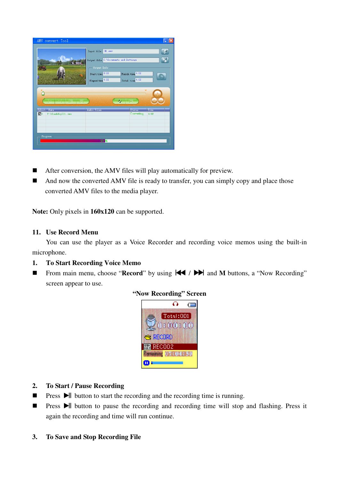| AMV convert Tool                                              |                                                                                                                                 |                                     |              |
|---------------------------------------------------------------|---------------------------------------------------------------------------------------------------------------------------------|-------------------------------------|--------------|
|                                                               | $01.$ wm $v$<br>Input file<br>Output file C: \Documents and Settings<br>$-$ Output Info<br>Start time 0:00<br>Elapsed time 4:02 | Finish time 4:02<br>Total time 4:02 | 隔            |
| 网<br>⊫<br>പ<br>网                                              | $\partial_{\ell}$                                                                                                               | G                                   |              |
| Select<br>Name<br>$\nabla$ <sub>0</sub><br>F:\flashfxp\01.wmv | Audio Files                                                                                                                     | Status<br>Converting                | Time<br>4:02 |
| Progrees                                                      | 51 %                                                                                                                            |                                     |              |

- After conversion, the AMV files will play automatically for preview.
- And now the converted AMV file is ready to transfer, you can simply copy and place those converted AMV files to the media player.

**Note:** Only pixels in **160x120** can be supported.

#### **11. Use Record Menu**

You can use the player as a Voice Recorder and recording voice memos using the built-in microphone.

# **1. To Start Recording Voice Memo**

■ From main menu, choose "**Record**" by using  $\blacktriangleleft$  / ▶ and **M** buttons, a "Now Recording" screen appear to use.



#### **"Now Recording" Screen**

#### **2. To Start / Pause Recording**

- **Press**  $\triangleright$  **button to start the recording and the recording time is running.**
- **Press**  $\blacktriangleright$  button to pause the recording and recording time will stop and flashing. Press it again the recording and time will run continue.

#### **3. To Save and Stop Recording File**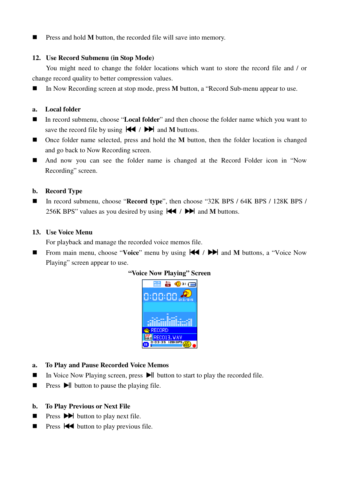**Press and hold M button, the recorded file will save into memory.** 

#### **12. Use Record Submenu (in Stop Mode)**

You might need to change the folder locations which want to store the record file and / or change record quality to better compression values.

■ In Now Recording screen at stop mode, press **M** button, a "Record Sub-menu appear to use.

#### **a. Local folder**

- In record submenu, choose "**Local folder**" and then choose the folder name which you want to save the record file by using  $\blacktriangleright\blacklozenge$  /  $\blacktriangleright\blacktriangleright\blacktriangleright$  and **M** buttons.
- Once folder name selected, press and hold the **M** button, then the folder location is changed and go back to Now Recording screen.
- And now you can see the folder name is changed at the Record Folder icon in "Now Recording" screen.

#### **b. Record Type**

■ In record submenu, choose "**Record type**", then choose "32K BPS / 64K BPS / 128K BPS / 256K BPS" values as you desired by using  $\blacktriangleright \blacktriangleright \blacktriangleright$  and **M** buttons.

#### **13. Use Voice Menu**

For playback and manage the recorded voice memos file.

■ From main menu, choose "**Voice**" menu by using  $\blacktriangleleft$  /  $\blacktriangleright$  and **M** buttons, a "Voice Now Playing" screen appear to use.



- **a. To Play and Pause Recorded Voice Memos**
- In Voice Now Playing screen, press  $\blacktriangleright$  button to start to play the recorded file.
- **Press**  $\blacktriangleright$  button to pause the playing file.
- **b. To Play Previous or Next File**
- **Press**  $\blacktriangleright$  **button to play next file.**
- **Press**  $\blacktriangleleft$  button to play previous file.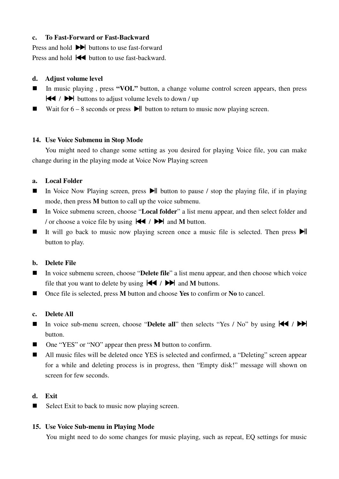# **c. To Fast-Forward or Fast-Backward**

Press and hold  $\blacktriangleright$  buttons to use fast-forward Press and hold  $\blacktriangleleft$  button to use fast-backward.

# **d. Adjust volume level**

- In music playing, press "**VOL**" button, a change volume control screen appears, then press / buttons to adjust volume levels to down / up
- Wait for  $6 8$  seconds or press  $\blacktriangleright$  button to return to music now playing screen.

# **14. Use Voice Submenu in Stop Mode**

You might need to change some setting as you desired for playing Voice file, you can make change during in the playing mode at Voice Now Playing screen

# **a. Local Folder**

- In Voice Now Playing screen, press  $\blacktriangleright$  button to pause / stop the playing file, if in playing mode, then press **M** button to call up the voice submenu.
- In Voice submenu screen, choose "**Local folder**" a list menu appear, and then select folder and / or choose a voice file by using  $\blacktriangleleft$  /  $\blacktriangleright$  and M button.
- It will go back to music now playing screen once a music file is selected. Then press  $\blacktriangleright$ button to play.

# **b. Delete File**

- In voice submenu screen, choose "**Delete file**" a list menu appear, and then choose which voice file that you want to delete by using  $\blacktriangleright \blacktriangleright \blacktriangleright$  and **M** buttons.
- Once file is selected, press **M** button and choose **Yes** to confirm or **No** to cancel.

# **c. Delete All**

- In voice sub-menu screen, choose "Delete all" then selects "Yes / No" by using  $\blacktriangleleft$  /  $\blacktriangleright$ button.
- One "YES" or "NO" appear then press **M** button to confirm.
- All music files will be deleted once YES is selected and confirmed, a "Deleting" screen appear for a while and deleting process is in progress, then "Empty disk!" message will shown on screen for few seconds.

# **d. Exit**

 $\blacksquare$  Select Exit to back to music now playing screen.

# **15. Use Voice Sub-menu in Playing Mode**

You might need to do some changes for music playing, such as repeat, EQ settings for music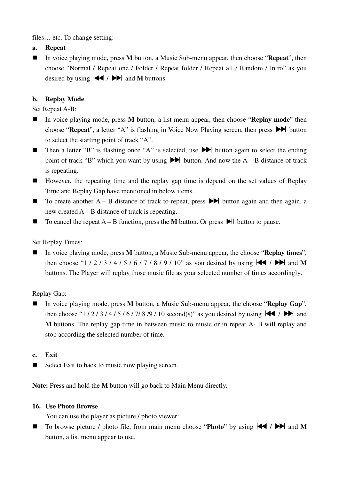files… etc. To change setting:

**a. Repeat** 

■ In voice playing mode, press **M** button, a Music Sub-menu appear, then choose "**Repeat**", then choose "Normal / Repeat one / Folder / Repeat folder / Repeat all / Random / Intro" as you desired by using  $|\blacktriangleleft \rangle$  /  $|\blacktriangleright \blacktriangleright \rangle$  and M buttons.

# **b. Replay Mode**

Set Repeat A-B:

- In voice playing mode, press **M** button, a list menu appear, then choose "**Replay mode**" then choose "**Repeat**", a letter "A" is flashing in Voice Now Playing screen, then press  $\blacktriangleright$  button to select the starting point of track "A".
- **Then a letter "B" is flashing once "A" is selected, use**  $\blacktriangleright$  **button again to select the ending** point of track "B" which you want by using  $\blacktriangleright$  button. And now the A – B distance of track is repeating.
- However, the repeating time and the replay gap time is depend on the set values of Replay Time and Replay Gap have mentioned in below items.
- $\blacksquare$  To create another A B distance of track to repeat, press  $\blacktriangleright$  button again and then again. a new created  $A - B$  distance of track is repeating.
- $\blacksquare$  To cancel the repeat A B function, press the M button. Or press  $\blacksquare$  button to pause.

# Set Replay Times:

 In voice playing mode, press **M** button, a Music Sub-menu appear, the choose "**Replay times**", then choose "1 / 2 / 3 / 4 / 5 / 6 / 7 / 8 / 9 / 10" as you desired by using  $\blacktriangleleft$  /  $\blacktriangleright$  and M buttons. The Player will replay those music file as your selected number of times accordingly.

# Replay Gap:

 In voice playing mode, press **M** button, a Music Sub-menu appear, the choose "**Replay Gap**", then choose "1 / 2 / 3 / 4 / 5 / 6 / 7/ 8 /9 / 10 second(s)" as you desired by using / and **M** buttons. The replay gap time in between music to music or in repeat A- B will replay and stop according the selected number of time.

# **c. Exit**

 $\blacksquare$  Select Exit to back to music now playing screen.

**Note:** Press and hold the **M** button will go back to Main Menu directly.

# **16. Use Photo Browse**

You can use the player as picture / photo viewer:

To browse picture / photo file, from main menu choose "**Photo**" by using  $\left|\mathbf{A}\right|$  /  $\mathbf{P}\right|$  and **M** button, a list menu appear to use.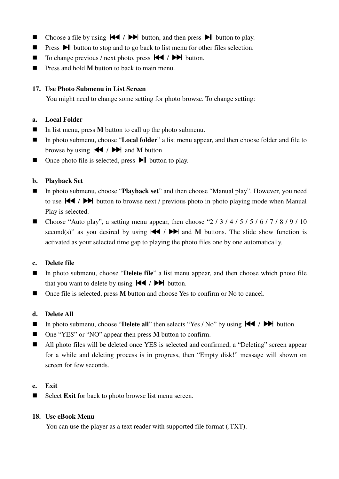- Choose a file by using  $\blacktriangleleft$  /  $\blacktriangleright$  button, and then press  $\blacktriangleright$  button to play.
- **Press**  $\blacktriangleright$  button to stop and to go back to list menu for other files selection.
- $\blacksquare$  To change previous / next photo, press  $\blacktriangleleft$  /  $\blacktriangleright$  button.
- **Press and hold M** button to back to main menu.

# **17. Use Photo Submenu in List Screen**

You might need to change some setting for photo browse. To change setting:

# **a. Local Folder**

- In list menu, press **M** button to call up the photo submenu.
- In photo submenu, choose "**Local folder**" a list menu appear, and then choose folder and file to browse by using  $|\blacktriangleleft|$  /  $|\blacktriangleright|$  and M button.
- $\Box$  Once photo file is selected, press  $\Box$  button to play.

# **b. Playback Set**

- In photo submenu, choose "**Playback set**" and then choose "Manual play". However, you need to use  $\blacktriangleleft$  /  $\blacktriangleright$  button to browse next / previous photo in photo playing mode when Manual Play is selected.
- Choose "Auto play", a setting menu appear, then choose "2 / 3 / 4 / 5 / 5 / 6 / 7 / 8 / 9 / 10 second(s)" as you desired by using  $|\blacktriangleleft|$  /  $|\blacktriangleright|$  and M buttons. The slide show function is activated as your selected time gap to playing the photo files one by one automatically.

# **c. Delete file**

- In photo submenu, choose "**Delete file**" a list menu appear, and then choose which photo file that you want to delete by using  $\blacktriangleleft$  /  $\blacktriangleright$  button.
- Once file is selected, press **M** button and choose Yes to confirm or No to cancel.

# **d. Delete All**

- In photo submenu, choose "**Delete all**" then selects "Yes / No" by using  $\left|\mathbf{\blacktriangleleft} \right|$  /  $\mathbf{\blacktriangleright}$  button.
- One "YES" or "NO" appear then press **M** button to confirm.
- All photo files will be deleted once YES is selected and confirmed, a "Deleting" screen appear for a while and deleting process is in progress, then "Empty disk!" message will shown on screen for few seconds.

# **e. Exit**

Select **Exit** for back to photo browse list menu screen.

# **18. Use eBook Menu**

You can use the player as a text reader with supported file format (.TXT).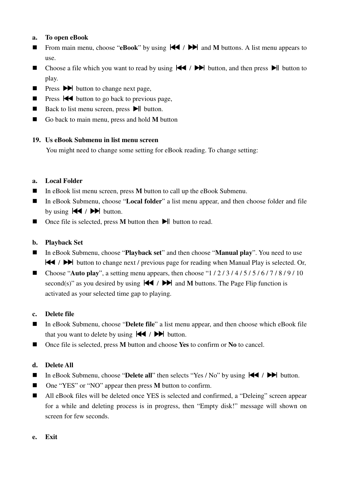# **a. To open eBook**

- **From main menu, choose "eBook"** by using  $\left|\mathbf{A}\right|$  /  $\mathbf{H}$  and **M** buttons. A list menu appears to use.
- Choose a file which you want to read by using  $\blacktriangleright$   $\blacktriangleright$  button, and then press  $\blacktriangleright$  button to play.
- **Press**  $\rightarrow$  **button to change next page,**
- **Press**  $\blacktriangleleft$  button to go back to previous page,
- Back to list menu screen, press  $\blacktriangleright$  button.
- Go back to main menu, press and hold **M** button

# **19. Us eBook Submenu in list menu screen**

You might need to change some setting for eBook reading. To change setting:

# **a. Local Folder**

- In eBook list menu screen, press **M** button to call up the eBook Submenu.
- In eBook Submenu, choose "**Local folder**" a list menu appear, and then choose folder and file by using  $\blacktriangleright$   $\blacktriangleright$   $\blacktriangleright$  button.
- Once file is selected, press **M** button then **D**<sup>I</sup> button to read.

# **b. Playback Set**

- In eBook Submenu, choose "**Playback set**" and then choose "**Manual play**". You need to use  $\blacktriangleright\blacktriangleright\blacktriangleright\blacktriangleright\blacktriangleright$  button to change next / previous page for reading when Manual Play is selected. Or,
- Choose "Auto play", a setting menu appears, then choose " $1/2/3/4/5/5/6/7/8/9/10$ second(s)" as you desired by using  $|\blacktriangleleft| / \blacktriangleright|$  and M buttons. The Page Flip function is activated as your selected time gap to playing.

# **c. Delete file**

- In eBook Submenu, choose "**Delete file**" a list menu appear, and then choose which eBook file that you want to delete by using  $\blacktriangleright$  /  $\blacktriangleright$  button.
- Once file is selected, press **M** button and choose **Yes** to confirm or **No** to cancel.

# **d. Delete All**

- In eBook Submenu, choose "**Delete all**" then selects "Yes / No" by using  $\left|\mathbf{A}\right|$  /  $\mathbf{D}\right|$  button.
- One "YES" or "NO" appear then press **M** button to confirm.
- All eBook files will be deleted once YES is selected and confirmed, a "Deleing" screen appear for a while and deleting process is in progress, then "Empty disk!" message will shown on screen for few seconds.
- **e. Exit**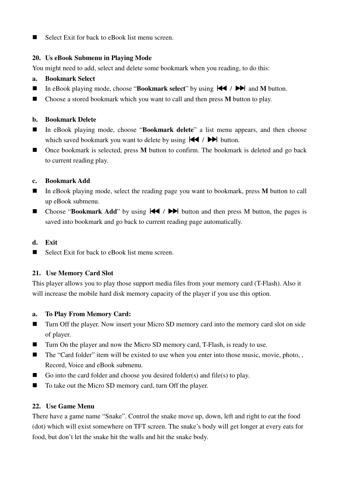■ Select Exit for back to eBook list menu screen.

# **20. Us eBook Submenu in Playing Mode**

You might need to add, select and delete some bookmark when you reading, to do this:

- **a. Bookmark Select**
- In eBook playing mode, choose "**Bookmark select**" by using  $\blacktriangleleft$  /  $\blacktriangleright$  and **M** button.
- Choose a stored bookmark which you want to call and then press **M** button to play.

# **b. Bookmark Delete**

- In eBook playing mode, choose "**Bookmark delete**" a list menu appears, and then choose which saved bookmark you want to delete by using  $\blacktriangleright$  /  $\blacktriangleright$  button.
- Once bookmark is selected, press **M** button to confirm. The bookmark is deleted and go back to current reading play.

# **c. Bookmark Add**

- In eBook playing mode, select the reading page you want to bookmark, press **M** button to call up eBook submenu.
- **E** Choose "**Bookmark Add**" by using  $|\blacktriangleleft|$   $\rangle$   $|\blacktriangleright|$  button and then press M button, the pages is saved into bookmark and go back to current reading page automatically.

# **d. Exit**

■ Select Exit for back to eBook list menu screen.

# **21. Use Memory Card Slot**

This player allows you to play those support media files from your memory card (T-Flash). Also it will increase the mobile hard disk memory capacity of the player if you use this option.

# **a. To Play From Memory Card:**

- Turn Off the player. Now insert your Micro SD memory card into the memory card slot on side of player.
- Turn On the player and now the Micro SD memory card, T-Flash, is ready to use.
- $\blacksquare$  The "Card folder" item will be existed to use when you enter into those music, movie, photo, , Record, Voice and eBook submenu.
- Go into the card folder and choose you desired folder(s) and file(s) to play.
- To take out the Micro SD memory card, turn Off the player.

# **22. Use Game Menu**

There have a game name "Snake". Control the snake move up, down, left and right to eat the food (dot) which will exist somewhere on TFT screen. The snake's body will get longer at every eats for food, but don't let the snake hit the walls and hit the snake body.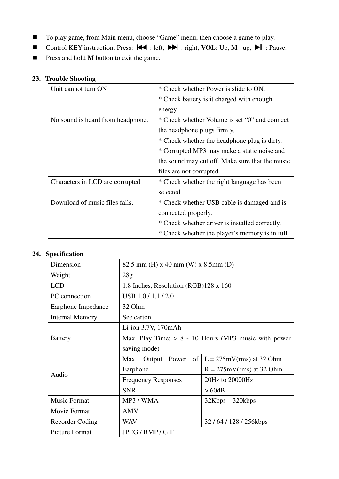- To play game, from Main menu, choose "Game" menu, then choose a game to play.
- Control KEY instruction; Press:  $\blacktriangleleft$  : left,  $\blacktriangleright$  : right, VOL: Up, M : up,  $\blacktriangleright$  II : Pause.
- **Press and hold <b>M** button to exit the game.

# **23. Trouble Shooting**

| Unit cannot turn ON               | * Check whether Power is slide to ON.           |
|-----------------------------------|-------------------------------------------------|
|                                   | * Check battery is it charged with enough       |
|                                   | energy.                                         |
| No sound is heard from headphone. | * Check whether Volume is set "0" and connect   |
|                                   | the headphone plugs firmly.                     |
|                                   | * Check whether the headphone plug is dirty.    |
|                                   | * Corrupted MP3 may make a static noise and     |
|                                   | the sound may cut off. Make sure that the music |
|                                   | files are not corrupted.                        |
| Characters in LCD are corrupted   | * Check whether the right language has been     |
|                                   | selected.                                       |
| Download of music files fails.    | * Check whether USB cable is damaged and is     |
|                                   | connected properly.                             |
|                                   | * Check whether driver is installed correctly.  |
|                                   | * Check whether the player's memory is in full. |

# **24. Specification**

| Dimension              | 82.5 mm (H) x 40 mm (W) x 8.5 mm (D)                   |                                                    |  |  |
|------------------------|--------------------------------------------------------|----------------------------------------------------|--|--|
| Weight                 | 28g                                                    |                                                    |  |  |
| <b>LCD</b>             | 1.8 Inches, Resolution (RGB)128 x 160                  |                                                    |  |  |
| PC connection          | USB 1.0/1.1/2.0                                        |                                                    |  |  |
| Earphone Impedance     | 32 Ohm                                                 |                                                    |  |  |
| <b>Internal Memory</b> | See carton                                             |                                                    |  |  |
|                        | Li-ion $3.7V$ , $170$ mAh                              |                                                    |  |  |
| <b>Battery</b>         | Max. Play Time: $> 8 - 10$ Hours (MP3 music with power |                                                    |  |  |
|                        | saving mode)                                           |                                                    |  |  |
|                        |                                                        | Max. Output Power of $  L = 275$ mV(rms) at 32 Ohm |  |  |
| Audio                  | Earphone                                               | $R = 275 \text{mV}$ (rms) at 32 Ohm                |  |  |
|                        | <b>Frequency Responses</b>                             | 20Hz to 20000Hz                                    |  |  |
|                        | <b>SNR</b>                                             | >60dB                                              |  |  |
| <b>Music Format</b>    | MP3 / WMA                                              | $32Kbps - 320kbps$                                 |  |  |
| Movie Format           | <b>AMV</b>                                             |                                                    |  |  |
| Recorder Coding        | WAV                                                    | 32/64/128/256kbps                                  |  |  |
| <b>Picture Format</b>  | <b>JPEG / BMP / GIF</b>                                |                                                    |  |  |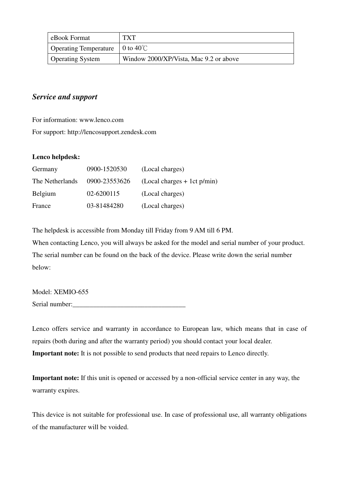| eBook Format                                         | <b>TXT</b>                             |
|------------------------------------------------------|----------------------------------------|
| Operating Temperature $\vert 0$ to 40 <sup>°</sup> C |                                        |
| <b>Operating System</b>                              | Window 2000/XP/Vista, Mac 9.2 or above |

# *Service and support*

For information: www.lenco.com

For support: http://lencosupport.zendesk.com

# **Lenco helpdesk:**

| Germany         | 0900-1520530  | (Local charges)               |
|-----------------|---------------|-------------------------------|
| The Netherlands | 0900-23553626 | $(Local charges + 1ct p/min)$ |
| Belgium         | 02-6200115    | (Local charges)               |
| France          | 03-81484280   | (Local charges)               |

The helpdesk is accessible from Monday till Friday from 9 AM till 6 PM.

When contacting Lenco, you will always be asked for the model and serial number of your product. The serial number can be found on the back of the device. Please write down the serial number below:

Model: XEMIO-655 Serial number:

Lenco offers service and warranty in accordance to European law, which means that in case of repairs (both during and after the warranty period) you should contact your local dealer. **Important note:** It is not possible to send products that need repairs to Lenco directly.

**Important note:** If this unit is opened or accessed by a non-official service center in any way, the warranty expires.

This device is not suitable for professional use. In case of professional use, all warranty obligations of the manufacturer will be voided.